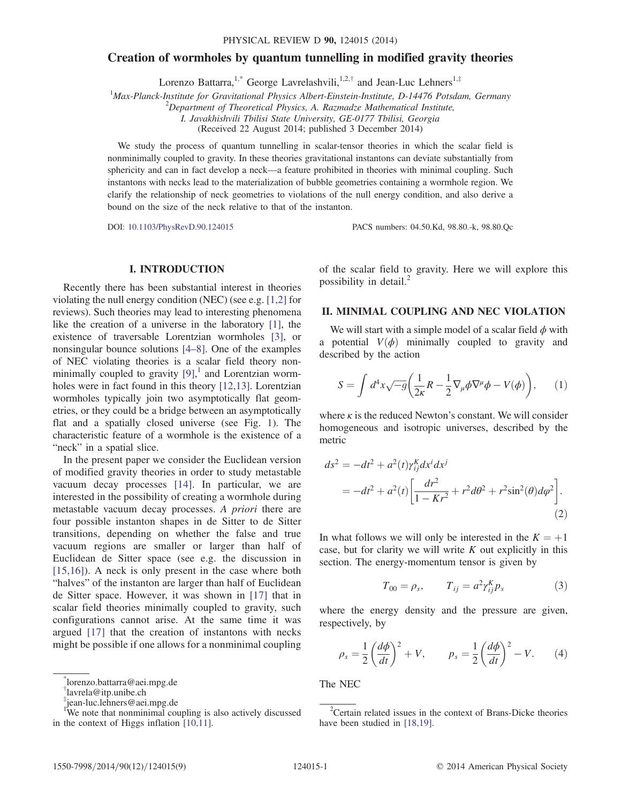# <span id="page-0-3"></span>Creation of wormholes by quantum tunnelling in modified gravity theories

Lorenzo Battarra,<sup>[1,\\*](#page-0-0)</sup> George Lavrelashvili,<sup>1,2,[†](#page-0-1)</sup> and Jean-Luc Lehners<sup>1,[‡](#page-0-2)</sup>

<sup>1</sup>Max-Planck-Institute for Gravitational Physics Albert-Einstein-Institute, D-14476 Potsdam, Germany

 $^{2}$ Department of Theoretical Physics, A. Razmadze Mathematical Institute,

I. Javakhishvili Tbilisi State University, GE-0177 Tbilisi, Georgia

(Received 22 August 2014; published 3 December 2014)

We study the process of quantum tunnelling in scalar-tensor theories in which the scalar field is nonminimally coupled to gravity. In these theories gravitational instantons can deviate substantially from sphericity and can in fact develop a neck—a feature prohibited in theories with minimal coupling. Such instantons with necks lead to the materialization of bubble geometries containing a wormhole region. We clarify the relationship of neck geometries to violations of the null energy condition, and also derive a bound on the size of the neck relative to that of the instanton.

DOI: [10.1103/PhysRevD.90.124015](http://dx.doi.org/10.1103/PhysRevD.90.124015) PACS numbers: 04.50.Kd, 98.80.-k, 98.80.Qc

# I. INTRODUCTION

Recently there has been substantial interest in theories violating the null energy condition (NEC) (see e.g. [\[1,2\]](#page-7-0) for reviews). Such theories may lead to interesting phenomena like the creation of a universe in the laboratory [\[1\]](#page-7-0), the existence of traversable Lorentzian wormholes [\[3\]](#page-7-1), or nonsingular bounce solutions [4–[8\]](#page-7-2). One of the examples of NEC violating theories is a scalar field theory nonminimally coupled to gravity  $[9]$ ,<sup>1</sup> and Lorentzian wormholes were in fact found in this theory [\[12,13\]](#page-7-4). Lorentzian wormholes typically join two asymptotically flat geometries, or they could be a bridge between an asymptotically flat and a spatially closed universe (see Fig. [1\)](#page-1-0). The characteristic feature of a wormhole is the existence of a "neck" in a spatial slice.

In the present paper we consider the Euclidean version of modified gravity theories in order to study metastable vacuum decay processes [\[14\]](#page-7-5). In particular, we are interested in the possibility of creating a wormhole during metastable vacuum decay processes. A priori there are four possible instanton shapes in de Sitter to de Sitter transitions, depending on whether the false and true vacuum regions are smaller or larger than half of Euclidean de Sitter space (see e.g. the discussion in [\[15,16\]](#page-7-6)). A neck is only present in the case where both "halves" of the instanton are larger than half of Euclidean de Sitter space. However, it was shown in [\[17\]](#page-7-7) that in scalar field theories minimally coupled to gravity, such configurations cannot arise. At the same time it was argued [\[17\]](#page-7-7) that the creation of instantons with necks might be possible if one allows for a nonminimal coupling

of the scalar field to gravity. Here we will explore this possibility in detail. $^{2}$ 

#### II. MINIMAL COUPLING AND NEC VIOLATION

We will start with a simple model of a scalar field  $\phi$  with a potential  $V(\phi)$  minimally coupled to gravity and described by the action

$$
S = \int d^4x \sqrt{-g} \left( \frac{1}{2\kappa} R - \frac{1}{2} \nabla_\mu \phi \nabla^\mu \phi - V(\phi) \right), \qquad (1)
$$

where  $\kappa$  is the reduced Newton's constant. We will consider homogeneous and isotropic universes, described by the metric

$$
ds^{2} = -dt^{2} + a^{2}(t)\gamma_{ij}^{K}dx^{i}dx^{j}
$$
  
=  $-dt^{2} + a^{2}(t)\left[\frac{dr^{2}}{1 - Kr^{2}} + r^{2}d\theta^{2} + r^{2}\sin^{2}(\theta)d\varphi^{2}\right].$  (2)

In what follows we will only be interested in the  $K = +1$ case, but for clarity we will write  $K$  out explicitly in this section. The energy-momentum tensor is given by

$$
T_{00} = \rho_s, \qquad T_{ij} = a^2 \gamma_{ij}^K p_s \tag{3}
$$

<span id="page-0-4"></span>where the energy density and the pressure are given, respectively, by

$$
\rho_s = \frac{1}{2} \left( \frac{d\phi}{dt} \right)^2 + V, \qquad p_s = \frac{1}{2} \left( \frac{d\phi}{dt} \right)^2 - V. \tag{4}
$$

<span id="page-0-0"></span>[<sup>\\*</sup>](#page-0-3)lorenzo.battarra@aei.mpg.de The NEC

<span id="page-0-1"></span>[<sup>†</sup>](#page-0-3) lavrela@itp.unibe.ch

<span id="page-0-2"></span>[<sup>‡</sup>](#page-0-3) jean‑luc.lehners@aei.mpg.de <sup>1</sup> We note that nonminimal coupling is also actively discussed in the context of Higgs inflation [\[10,11\]](#page-7-8).

<sup>&</sup>lt;sup>2</sup>Certain related issues in the context of Brans-Dicke theories have been studied in [\[18,19\].](#page-8-0)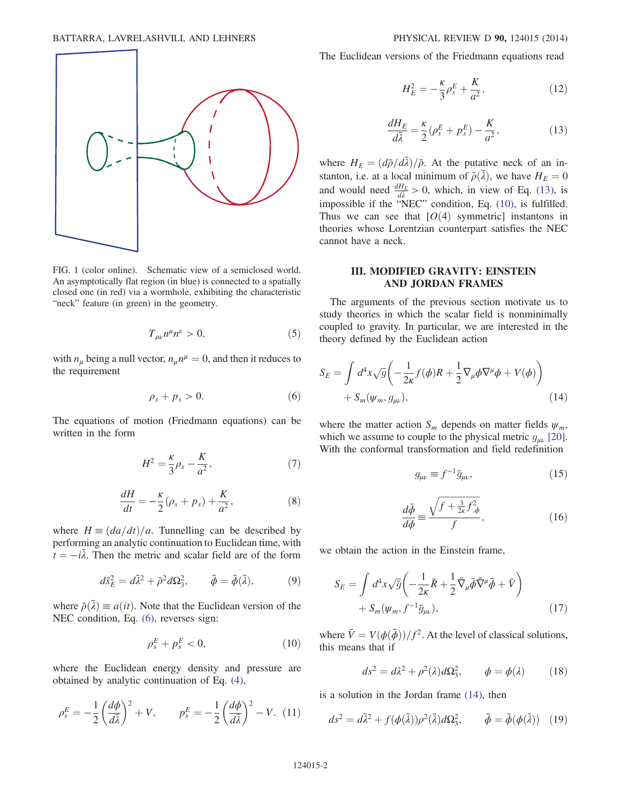<span id="page-1-0"></span>

FIG. 1 (color online). Schematic view of a semiclosed world. An asymptotically flat region (in blue) is connected to a spatially closed one (in red) via a wormhole, exhibiting the characteristic "neck" feature (in green) in the geometry.

$$
T_{\mu\nu}n^{\mu}n^{\nu} > 0, \tag{5}
$$

<span id="page-1-1"></span>with  $n_{\mu}$  being a null vector,  $n_{\mu}n^{\mu} = 0$ , and then it reduces to the requirement

$$
\rho_s + p_s > 0. \tag{6}
$$

The equations of motion (Friedmann equations) can be written in the form

$$
H^2 = \frac{\kappa}{3}\rho_s - \frac{K}{a^2},\tag{7}
$$

$$
\frac{dH}{dt} = -\frac{\kappa}{2}(\rho_s + p_s) + \frac{K}{a^2},\tag{8}
$$

where  $H = \frac{da}{dt}\/a$ . Tunnelling can be described by performing an analytic continuation to Euclidean time, with  $\hat{t} = -i\overline{\lambda}$ . Then the metric and scalar field are of the form

$$
d\bar{s}_E^2 = d\bar{\lambda}^2 + \bar{\rho}^2 d\Omega_3^2, \qquad \bar{\phi} = \bar{\phi}(\bar{\lambda}), \tag{9}
$$

<span id="page-1-3"></span>where  $\bar{\rho}(\bar{\lambda}) \equiv a(it)$ . Note that the Euclidean version of the NEC condition, Eq. [\(6\),](#page-1-1) reverses sign:

$$
\rho_s^E + p_s^E < 0,\tag{10}
$$

where the Euclidean energy density and pressure are obtained by analytic continuation of Eq. [\(4\),](#page-0-4)

$$
\rho_s^E = -\frac{1}{2} \left( \frac{d\phi}{d\bar{\lambda}} \right)^2 + V, \qquad p_s^E = -\frac{1}{2} \left( \frac{d\phi}{d\bar{\lambda}} \right)^2 - V. \tag{11}
$$

The Euclidean versions of the Friedmann equations read

$$
H_E^2 = -\frac{\kappa}{3}\rho_s^E + \frac{K}{a^2},\tag{12}
$$

$$
\frac{dH_E}{d\bar{\lambda}} = \frac{\kappa}{2} (\rho_s^E + p_s^E) - \frac{K}{a^2},\tag{13}
$$

<span id="page-1-2"></span>where  $H_E = \left(\frac{d\bar{\rho}}{d\bar{\lambda}}\right)/\bar{\rho}$ . At the putative neck of an instanton, i.e. at a local minimum of  $\bar{\rho}(\bar{\lambda})$ , we have  $H_E = 0$ and would need  $\frac{dH_E}{d\lambda} > 0$ , which, in view of Eq. [\(13\)](#page-1-2), is impossible if the "NEC" condition, Eq. [\(10\),](#page-1-3) is fulfilled. Thus we can see that  $[O(4)$  symmetric instantons in theories whose Lorentzian counterpart satisfies the NEC cannot have a neck.

# III. MODIFIED GRAVITY: EINSTEIN AND JORDAN FRAMES

<span id="page-1-4"></span>The arguments of the previous section motivate us to study theories in which the scalar field is nonminimally coupled to gravity. In particular, we are interested in the theory defined by the Euclidean action

$$
S_E = \int d^4x \sqrt{g} \left( -\frac{1}{2\kappa} f(\phi) R + \frac{1}{2} \nabla_\mu \phi \nabla^\mu \phi + V(\phi) \right) + S_m(\psi_m, g_{\mu\nu}), \tag{14}
$$

<span id="page-1-7"></span><span id="page-1-6"></span>where the matter action  $S_m$  depends on matter fields  $\psi_m$ , which we assume to couple to the physical metric  $g_{\mu\nu}$  [\[20\]](#page-8-1). With the conformal transformation and field redefinition

$$
g_{\mu\nu} \equiv f^{-1}\bar{g}_{\mu\nu},\qquad(15)
$$

$$
\frac{d\bar{\phi}}{d\phi} \equiv \frac{\sqrt{f + \frac{3}{2\kappa}f_{,\phi}^2}}{f},\tag{16}
$$

<span id="page-1-5"></span>we obtain the action in the Einstein frame,

$$
S_E = \int d^4x \sqrt{\bar{g}} \left( -\frac{1}{2\kappa} \bar{R} + \frac{1}{2} \bar{\nabla}_{\mu} \bar{\phi} \bar{\nabla}^{\mu} \bar{\phi} + \bar{V} \right) + S_m(\psi_m, f^{-1} \bar{g}_{\mu\nu}),
$$
 (17)

where  $\bar{V} = V(\phi(\bar{\phi})) / f^2$ . At the level of classical solutions, this means that if

$$
ds^2 = d\lambda^2 + \rho^2(\lambda)d\Omega_3^2, \qquad \phi = \phi(\lambda) \tag{18}
$$

is a solution in the Jordan frame [\(14\)](#page-1-4), then

$$
ds^2 = d\bar{\lambda}^2 + f(\phi(\bar{\lambda}))\rho^2(\bar{\lambda})d\Omega_3^2, \qquad \bar{\phi} = \bar{\phi}(\phi(\bar{\lambda})) \quad (19)
$$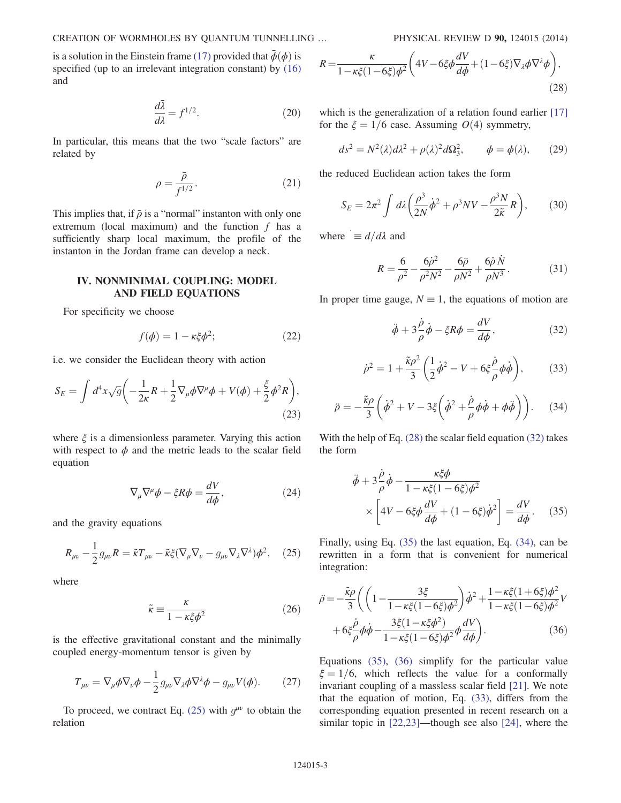is a solution in the Einstein frame [\(17\)](#page-1-5) provided that  $\bar{\phi}(\phi)$  is specified (up to an irrelevant integration constant) by  $(16)$ and

$$
\frac{d\bar{\lambda}}{d\lambda} = f^{1/2}.\tag{20}
$$

<span id="page-2-7"></span>In particular, this means that the two "scale factors" are related by

$$
\rho = \frac{\bar{\rho}}{f^{1/2}}.\tag{21}
$$

This implies that, if  $\bar{\rho}$  is a "normal" instanton with only one extremum (local maximum) and the function  $f$  has a sufficiently sharp local maximum, the profile of the instanton in the Jordan frame can develop a neck.

# IV. NONMINIMAL COUPLING: MODEL AND FIELD EQUATIONS

For specificity we choose

$$
f(\phi) = 1 - \kappa \xi \phi^2; \tag{22}
$$

i.e. we consider the Euclidean theory with action

$$
S_E = \int d^4x \sqrt{g} \left( -\frac{1}{2\kappa} R + \frac{1}{2} \nabla_\mu \phi \nabla^\mu \phi + V(\phi) + \frac{\xi}{2} \phi^2 R \right),\tag{23}
$$

where  $\xi$  is a dimensionless parameter. Varying this action with respect to  $\phi$  and the metric leads to the scalar field equation

$$
\nabla_{\mu}\nabla^{\mu}\phi - \xi R\phi = \frac{dV}{d\phi},\qquad(24)
$$

<span id="page-2-0"></span>and the gravity equations

$$
R_{\mu\nu} - \frac{1}{2} g_{\mu\nu} R = \tilde{\kappa} T_{\mu\nu} - \tilde{\kappa}\xi (\nabla_{\mu} \nabla_{\nu} - g_{\mu\nu} \nabla_{\lambda} \nabla^{\lambda}) \phi^2, \quad (25)
$$

where

$$
\tilde{\kappa} \equiv \frac{\kappa}{1 - \kappa \xi \phi^2} \tag{26}
$$

is the effective gravitational constant and the minimally coupled energy-momentum tensor is given by

$$
T_{\mu\nu} = \nabla_{\mu}\phi\nabla_{\nu}\phi - \frac{1}{2}g_{\mu\nu}\nabla_{\lambda}\phi\nabla^{\lambda}\phi - g_{\mu\nu}V(\phi). \tag{27}
$$

<span id="page-2-1"></span>To proceed, we contract Eq. [\(25\)](#page-2-0) with  $g^{\mu\nu}$  to obtain the relation

$$
R = \frac{\kappa}{1 - \kappa \xi (1 - 6\xi)\phi^2} \left( 4V - 6\xi\phi \frac{dV}{d\phi} + (1 - 6\xi)\nabla_\lambda\phi\nabla^\lambda\phi \right),\tag{28}
$$

which is the generalization of a relation found earlier [\[17\]](#page-7-7) for the  $\xi = 1/6$  case. Assuming  $O(4)$  symmetry,

$$
ds^2 = N^2(\lambda)d\lambda^2 + \rho(\lambda)^2d\Omega_3^2, \qquad \phi = \phi(\lambda), \qquad (29)
$$

the reduced Euclidean action takes the form

$$
S_E = 2\pi^2 \int d\lambda \left(\frac{\rho^3}{2N}\dot{\phi}^2 + \rho^3 NV - \frac{\rho^3 N}{2\tilde{\kappa}}R\right),\qquad(30)
$$

where  $= d/d\lambda$  and

$$
R = \frac{6}{\rho^2} - \frac{6\dot{\rho}^2}{\rho^2 N^2} - \frac{6\ddot{\rho}}{\rho N^2} + \frac{6\dot{\rho}\,\dot{N}}{\rho N^3}.
$$
 (31)

<span id="page-2-6"></span><span id="page-2-2"></span>In proper time gauge,  $N \equiv 1$ , the equations of motion are

$$
\ddot{\phi} + 3\frac{\dot{\rho}}{\rho}\dot{\phi} - \xi R \phi = \frac{dV}{d\phi},\tag{32}
$$

$$
\dot{\rho}^2 = 1 + \frac{\tilde{\kappa}\rho^2}{3} \left( \frac{1}{2} \dot{\phi}^2 - V + 6\xi \frac{\dot{\rho}}{\rho} \phi \dot{\phi} \right),\tag{33}
$$

<span id="page-2-4"></span>
$$
\ddot{\rho} = -\frac{\tilde{\kappa}\rho}{3} \left( \dot{\phi}^2 + V - 3\xi \left( \dot{\phi}^2 + \frac{\dot{\rho}}{\rho} \phi \dot{\phi} + \phi \ddot{\phi} \right) \right). \tag{34}
$$

<span id="page-2-3"></span>With the help of Eq. [\(28\)](#page-2-1) the scalar field equation [\(32\)](#page-2-2) takes the form

$$
\ddot{\phi} + 3\frac{\dot{\rho}}{\rho}\dot{\phi} - \frac{\kappa\xi\phi}{1 - \kappa\xi(1 - 6\xi)\phi^2}
$$

$$
\times \left[4V - 6\xi\phi\frac{dV}{d\phi} + (1 - 6\xi)\dot{\phi}^2\right] = \frac{dV}{d\phi}.
$$
 (35)

<span id="page-2-5"></span>Finally, using Eq. [\(35\)](#page-2-3) the last equation, Eq. [\(34\),](#page-2-4) can be rewritten in a form that is convenient for numerical integration:

$$
\ddot{\rho} = -\frac{\tilde{\kappa}\rho}{3} \left( \left( 1 - \frac{3\xi}{1 - \kappa\xi(1 - 6\xi)\phi^2} \right) \dot{\phi}^2 + \frac{1 - \kappa\xi(1 + 6\xi)\phi^2}{1 - \kappa\xi(1 - 6\xi)\phi^2} V + 6\xi\frac{\dot{\rho}}{\rho}\dot{\phi} - \frac{3\xi(1 - \kappa\xi\phi^2)}{1 - \kappa\xi(1 - 6\xi)\phi^2}\phi\frac{dV}{d\phi} \right).
$$
\n(36)

Equations [\(35\)](#page-2-3), [\(36\)](#page-2-5) simplify for the particular value  $\xi = 1/6$ , which reflects the value for a conformally invariant coupling of a massless scalar field [\[21\]](#page-8-2). We note that the equation of motion, Eq. [\(33\)](#page-2-6), differs from the corresponding equation presented in recent research on a similar topic in [\[22,23\]](#page-8-3)—though see also [\[24\],](#page-8-4) where the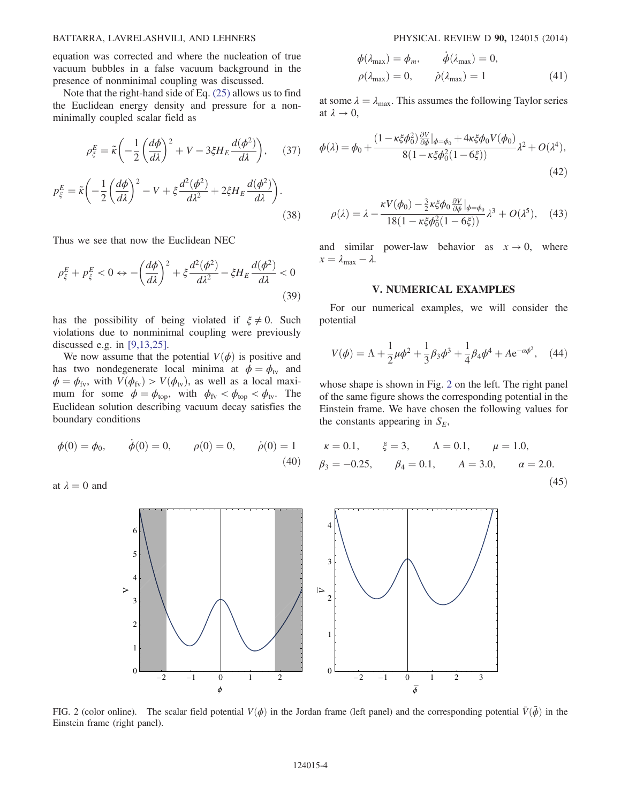### BATTARRA, LAVRELASHVILI, AND LEHNERS PHYSICAL REVIEW D 90, 124015 (2014)

equation was corrected and where the nucleation of true vacuum bubbles in a false vacuum background in the presence of nonminimal coupling was discussed.

Note that the right-hand side of Eq. [\(25\)](#page-2-0) allows us to find the Euclidean energy density and pressure for a nonminimally coupled scalar field as

$$
\rho_{\xi}^{E} = \tilde{\kappa} \left( -\frac{1}{2} \left( \frac{d\phi}{d\lambda} \right)^{2} + V - 3\xi H_{E} \frac{d(\phi^{2})}{d\lambda} \right), \quad (37)
$$

$$
p_{\xi}^{E} = \tilde{\kappa} \left( -\frac{1}{2} \left( \frac{d\phi}{d\lambda} \right)^{2} - V + \xi \frac{d^{2}(\phi^{2})}{d\lambda^{2}} + 2\xi H_{E} \frac{d(\phi^{2})}{d\lambda} \right).
$$
(38)

Thus we see that now the Euclidean NEC

$$
\rho_{\xi}^{E} + p_{\xi}^{E} < 0 \leftrightarrow -\left(\frac{d\phi}{d\lambda}\right)^{2} + \xi \frac{d^{2}(\phi^{2})}{d\lambda^{2}} - \xi H_{E} \frac{d(\phi^{2})}{d\lambda} < 0 \tag{39}
$$

has the possibility of being violated if  $\xi \neq 0$ . Such violations due to nonminimal coupling were previously discussed e.g. in [\[9,13,25\]](#page-7-3).

We now assume that the potential  $V(\phi)$  is positive and has two nondegenerate local minima at  $\phi = \phi_{\text{tv}}$  and  $\phi = \phi_{fv}$ , with  $V(\phi_{fv}) > V(\phi_{tv})$ , as well as a local maximum for some  $\phi = \phi_{top}$ , with  $\phi_{fv} < \phi_{top} < \phi_{tv}$ . The Euclidean solution describing vacuum decay satisfies the boundary conditions

$$
\phi(0) = \phi_0,
$$
  $\dot{\phi}(0) = 0,$   $\rho(0) = 0,$   $\dot{\rho}(0) = 1$  (40)

<span id="page-3-0"></span>at  $\lambda = 0$  and

$$
\begin{aligned}\n\phi(\lambda_{\text{max}}) &= \phi_m, & \dot{\phi}(\lambda_{\text{max}}) &= 0, \\
\rho(\lambda_{\text{max}}) &= 0, & \dot{\rho}(\lambda_{\text{max}}) &= 1\n\end{aligned} \tag{41}
$$

<span id="page-3-1"></span>at some  $\lambda = \lambda_{\text{max}}$ . This assumes the following Taylor series at  $\lambda \rightarrow 0$ .

$$
\phi(\lambda) = \phi_0 + \frac{(1 - \kappa \xi \phi_0^2) \frac{\partial V}{\partial \phi}|_{\phi = \phi_0} + 4\kappa \xi \phi_0 V(\phi_0)}{8(1 - \kappa \xi \phi_0^2 (1 - 6\xi))} \lambda^2 + O(\lambda^4),
$$
\n(42)

<span id="page-3-2"></span>
$$
\rho(\lambda) = \lambda - \frac{\kappa V(\phi_0) - \frac{3}{2}\kappa \xi \phi_0 \frac{\partial V}{\partial \phi}|_{\phi = \phi_0}}{18(1 - \kappa \xi \phi_0^2 (1 - 6\xi))} \lambda^3 + O(\lambda^5), \quad (43)
$$

and similar power-law behavior as  $x \to 0$ , where  $x = \lambda_{\text{max}} - \lambda$ .

### V. NUMERICAL EXAMPLES

<span id="page-3-3"></span>For our numerical examples, we will consider the potential

$$
V(\phi) = \Lambda + \frac{1}{2}\mu\phi^2 + \frac{1}{3}\beta_3\phi^3 + \frac{1}{4}\beta_4\phi^4 + Ae^{-\alpha\phi^2},
$$
 (44)

whose shape is shown in Fig. [2](#page-3-0) on the left. The right panel of the same figure shows the corresponding potential in the Einstein frame. We have chosen the following values for the constants appearing in  $S_E$ ,

$$
\kappa = 0.1,
$$
\n $\xi = 3,$ \n $\Lambda = 0.1,$ \n $\mu = 1.0,$ \n  
\n $\beta_3 = -0.25,$ \n $\beta_4 = 0.1,$ \n $\Lambda = 3.0,$ \n $\alpha = 2.0.$ \n  
\n(45)



FIG. 2 (color online). The scalar field potential  $V(\phi)$  in the Jordan frame (left panel) and the corresponding potential  $\bar{V}(\phi)$  in the Einstein frame (right panel).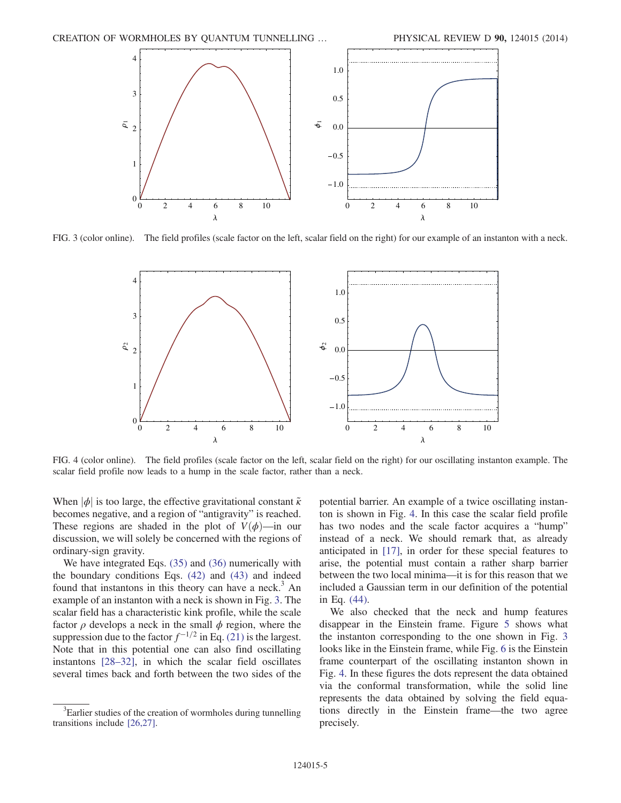<span id="page-4-0"></span>

<span id="page-4-1"></span>FIG. 3 (color online). The field profiles (scale factor on the left, scalar field on the right) for our example of an instanton with a neck.



FIG. 4 (color online). The field profiles (scale factor on the left, scalar field on the right) for our oscillating instanton example. The scalar field profile now leads to a hump in the scale factor, rather than a neck.

When  $|\phi|$  is too large, the effective gravitational constant  $\tilde{\kappa}$ becomes negative, and a region of "antigravity" is reached. These regions are shaded in the plot of  $V(\phi)$ —in our discussion, we will solely be concerned with the regions of ordinary-sign gravity.

We have integrated Eqs. [\(35\)](#page-2-3) and [\(36\)](#page-2-5) numerically with the boundary conditions Eqs. [\(42\)](#page-3-1) and [\(43\)](#page-3-2) and indeed found that instantons in this theory can have a neck.<sup>3</sup> An example of an instanton with a neck is shown in Fig. [3.](#page-4-0) The scalar field has a characteristic kink profile, while the scale factor  $\rho$  develops a neck in the small  $\phi$  region, where the suppression due to the factor  $f^{-1/2}$  in Eq. [\(21\)](#page-2-7) is the largest. Note that in this potential one can also find oscillating instantons [28–[32\],](#page-8-5) in which the scalar field oscillates several times back and forth between the two sides of the potential barrier. An example of a twice oscillating instanton is shown in Fig. [4](#page-4-1). In this case the scalar field profile has two nodes and the scale factor acquires a "hump" instead of a neck. We should remark that, as already anticipated in [\[17\]](#page-7-7), in order for these special features to arise, the potential must contain a rather sharp barrier between the two local minima—it is for this reason that we included a Gaussian term in our definition of the potential in Eq. [\(44\).](#page-3-3)

We also checked that the neck and hump features disappear in the Einstein frame. Figure [5](#page-5-0) shows what the instanton corresponding to the one shown in Fig. [3](#page-4-0) looks like in the Einstein frame, while Fig. [6](#page-5-1) is the Einstein frame counterpart of the oscillating instanton shown in Fig. [4.](#page-4-1) In these figures the dots represent the data obtained via the conformal transformation, while the solid line represents the data obtained by solving the field equations directly in the Einstein frame—the two agree precisely.

<sup>&</sup>lt;sup>3</sup>Earlier studies of the creation of wormholes during tunnelling transitions include [\[26,27\]](#page-8-6).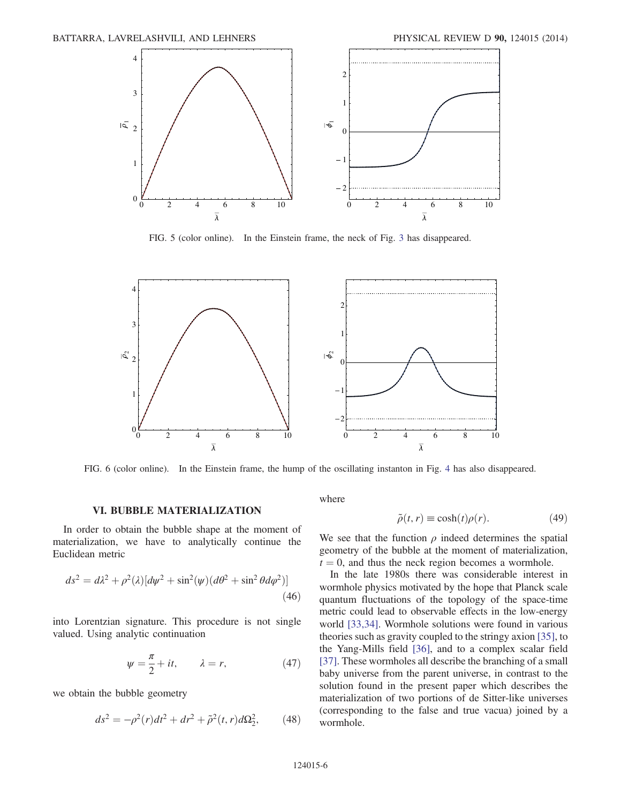<span id="page-5-0"></span>

FIG. 5 (color online). In the Einstein frame, the neck of Fig. [3](#page-4-0) has disappeared.

<span id="page-5-1"></span>

FIG. 6 (color online). In the Einstein frame, the hump of the oscillating instanton in Fig. [4](#page-4-1) has also disappeared.

#### VI. BUBBLE MATERIALIZATION

In order to obtain the bubble shape at the moment of materialization, we have to analytically continue the Euclidean metric

$$
ds^2 = d\lambda^2 + \rho^2(\lambda)[d\psi^2 + \sin^2(\psi)(d\theta^2 + \sin^2\theta d\varphi^2)]
$$
\n(46)

into Lorentzian signature. This procedure is not single valued. Using analytic continuation

$$
\psi = \frac{\pi}{2} + it, \qquad \lambda = r,\tag{47}
$$

we obtain the bubble geometry

$$
ds^{2} = -\rho^{2}(r)dt^{2} + dr^{2} + \tilde{\rho}^{2}(t, r)d\Omega_{2}^{2},
$$
 (48)

where

$$
\tilde{\rho}(t,r) \equiv \cosh(t)\rho(r). \tag{49}
$$

We see that the function  $\rho$  indeed determines the spatial geometry of the bubble at the moment of materialization,  $t = 0$ , and thus the neck region becomes a wormhole.

In the late 1980s there was considerable interest in wormhole physics motivated by the hope that Planck scale quantum fluctuations of the topology of the space-time metric could lead to observable effects in the low-energy world [\[33,34\]](#page-8-7). Wormhole solutions were found in various theories such as gravity coupled to the stringy axion [\[35\]](#page-8-8), to the Yang-Mills field [\[36\]](#page-8-9), and to a complex scalar field [\[37\]](#page-8-10). These wormholes all describe the branching of a small baby universe from the parent universe, in contrast to the solution found in the present paper which describes the materialization of two portions of de Sitter-like universes (corresponding to the false and true vacua) joined by a wormhole.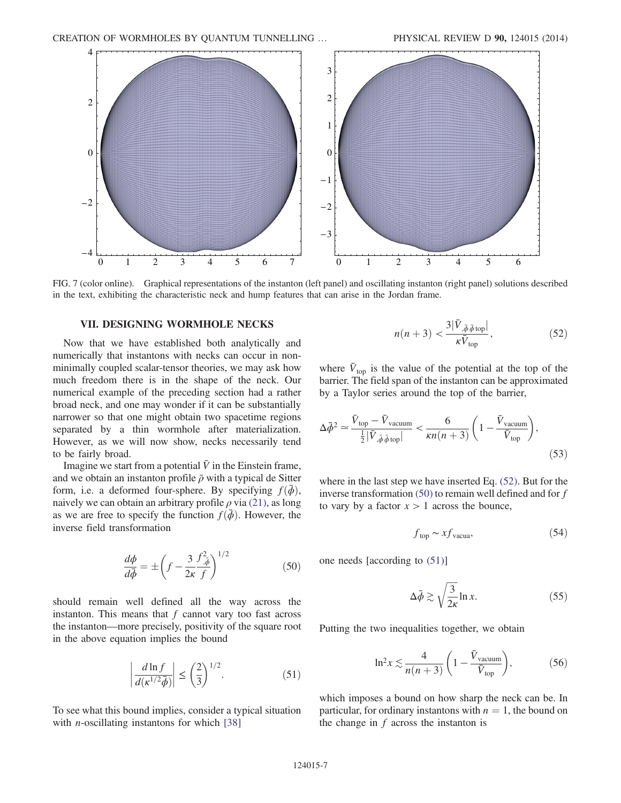<span id="page-6-3"></span>

FIG. 7 (color online). Graphical representations of the instanton (left panel) and oscillating instanton (right panel) solutions described in the text, exhibiting the characteristic neck and hump features that can arise in the Jordan frame.

### VII. DESIGNING WORMHOLE NECKS

Now that we have established both analytically and numerically that instantons with necks can occur in nonminimally coupled scalar-tensor theories, we may ask how much freedom there is in the shape of the neck. Our numerical example of the preceding section had a rather broad neck, and one may wonder if it can be substantially narrower so that one might obtain two spacetime regions separated by a thin wormhole after materialization. However, as we will now show, necks necessarily tend to be fairly broad.

<span id="page-6-1"></span>Imagine we start from a potential  $\bar{V}$  in the Einstein frame, and we obtain an instanton profile  $\bar{\rho}$  with a typical de Sitter form, i.e. a deformed four-sphere. By specifying  $f(\bar{\phi})$ , naively we can obtain an arbitrary profile  $\rho$  via [\(21\),](#page-2-7) as long as we are free to specify the function  $f(\bar{\phi})$ . However, the inverse field transformation

$$
\frac{d\phi}{d\bar{\phi}} = \pm \left( f - \frac{3}{2\kappa} \frac{f_{,\bar{\phi}}^2}{f} \right)^{1/2} \tag{50}
$$

<span id="page-6-2"></span>should remain well defined all the way across the instanton. This means that  $f$  cannot vary too fast across the instanton—more precisely, positivity of the square root in the above equation implies the bound

$$
\left| \frac{d \ln f}{d(\kappa^{1/2} \bar{\phi})} \right| \le \left( \frac{2}{3} \right)^{1/2}.
$$
 (51)

<span id="page-6-0"></span>To see what this bound implies, consider a typical situation with *n*-oscillating instantons for which  $[38]$ 

$$
n(n+3) < \frac{3|\bar{V}_{,\bar{\phi}\bar{\phi}\text{top}}|}{\kappa \bar{V}_{\text{top}}},\tag{52}
$$

where  $\bar{V}_{\text{top}}$  is the value of the potential at the top of the barrier. The field span of the instanton can be approximated by a Taylor series around the top of the barrier,

$$
\Delta \bar{\phi}^2 \simeq \frac{\bar{V}_{\text{top}} - \bar{V}_{\text{vacuum}}}{\frac{1}{2} |\bar{V}_{,\bar{\phi}\bar{\phi}\,\text{top}}|} < \frac{6}{\kappa n(n+3)} \left( 1 - \frac{\bar{V}_{\text{vacuum}}}{\bar{V}_{\text{top}}} \right),\tag{53}
$$

where in the last step we have inserted Eq. [\(52\)](#page-6-0). But for the inverse transformation [\(50\)](#page-6-1) to remain well defined and for f to vary by a factor  $x > 1$  across the bounce,

$$
f_{\text{top}} \sim x f_{\text{vacua}},\tag{54}
$$

one needs [according to [\(51\)](#page-6-2)]

$$
\Delta \bar{\phi} \gtrsim \sqrt{\frac{3}{2\kappa}} \ln x. \tag{55}
$$

Putting the two inequalities together, we obtain

$$
\ln^2 x \lesssim \frac{4}{n(n+3)} \left( 1 - \frac{\bar{V}_{\text{vacuum}}}{\bar{V}_{\text{top}}} \right),\tag{56}
$$

which imposes a bound on how sharp the neck can be. In particular, for ordinary instantons with  $n = 1$ , the bound on the change in  $f$  across the instanton is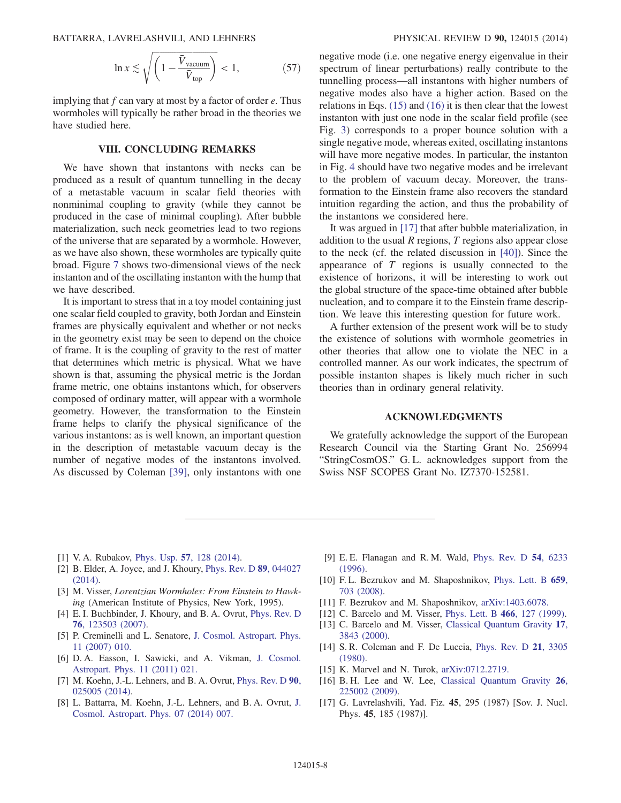BATTARRA, LAVRELASHVILI, AND LEHNERS PHYSICAL REVIEW D 90, 124015 (2014)

$$
\ln x \lesssim \sqrt{\left(1 - \frac{\bar{V}_{\text{vacuum}}}{\bar{V}_{\text{top}}}\right)} < 1,\tag{57}
$$

implying that  $f$  can vary at most by a factor of order  $e$ . Thus wormholes will typically be rather broad in the theories we have studied here.

### VIII. CONCLUDING REMARKS

We have shown that instantons with necks can be produced as a result of quantum tunnelling in the decay of a metastable vacuum in scalar field theories with nonminimal coupling to gravity (while they cannot be produced in the case of minimal coupling). After bubble materialization, such neck geometries lead to two regions of the universe that are separated by a wormhole. However, as we have also shown, these wormholes are typically quite broad. Figure [7](#page-6-3) shows two-dimensional views of the neck instanton and of the oscillating instanton with the hump that we have described.

It is important to stress that in a toy model containing just one scalar field coupled to gravity, both Jordan and Einstein frames are physically equivalent and whether or not necks in the geometry exist may be seen to depend on the choice of frame. It is the coupling of gravity to the rest of matter that determines which metric is physical. What we have shown is that, assuming the physical metric is the Jordan frame metric, one obtains instantons which, for observers composed of ordinary matter, will appear with a wormhole geometry. However, the transformation to the Einstein frame helps to clarify the physical significance of the various instantons: as is well known, an important question in the description of metastable vacuum decay is the number of negative modes of the instantons involved. As discussed by Coleman [\[39\]](#page-8-12), only instantons with one negative mode (i.e. one negative energy eigenvalue in their spectrum of linear perturbations) really contribute to the tunnelling process—all instantons with higher numbers of negative modes also have a higher action. Based on the relations in Eqs. [\(15\)](#page-1-7) and [\(16\)](#page-1-6) it is then clear that the lowest instanton with just one node in the scalar field profile (see Fig. [3\)](#page-4-0) corresponds to a proper bounce solution with a single negative mode, whereas exited, oscillating instantons will have more negative modes. In particular, the instanton in Fig. [4](#page-4-1) should have two negative modes and be irrelevant to the problem of vacuum decay. Moreover, the transformation to the Einstein frame also recovers the standard intuition regarding the action, and thus the probability of the instantons we considered here.

It was argued in [\[17\]](#page-7-7) that after bubble materialization, in addition to the usual  $R$  regions,  $T$  regions also appear close to the neck (cf. the related discussion in [\[40\]](#page-8-13)). Since the appearance of T regions is usually connected to the existence of horizons, it will be interesting to work out the global structure of the space-time obtained after bubble nucleation, and to compare it to the Einstein frame description. We leave this interesting question for future work.

A further extension of the present work will be to study the existence of solutions with wormhole geometries in other theories that allow one to violate the NEC in a controlled manner. As our work indicates, the spectrum of possible instanton shapes is likely much richer in such theories than in ordinary general relativity.

### ACKNOWLEDGMENTS

We gratefully acknowledge the support of the European Research Council via the Starting Grant No. 256994 "StringCosmOS." G. L. acknowledges support from the Swiss NSF SCOPES Grant No. IZ7370-152581.

- <span id="page-7-0"></span>[1] V. A. Rubakov, Phys. Usp. **57**[, 128 \(2014\).](http://dx.doi.org/10.3367/UFNe.0184.201402b.0137)
- [2] B. Elder, A. Joyce, and J. Khoury, [Phys. Rev. D](http://dx.doi.org/10.1103/PhysRevD.89.044027) 89, 044027 [\(2014\).](http://dx.doi.org/10.1103/PhysRevD.89.044027)
- <span id="page-7-1"></span>[3] M. Visser, Lorentzian Wormholes: From Einstein to Hawking (American Institute of Physics, New York, 1995).
- <span id="page-7-2"></span>[4] E. I. Buchbinder, J. Khoury, and B. A. Ovrut, [Phys. Rev. D](http://dx.doi.org/10.1103/PhysRevD.76.123503) 76[, 123503 \(2007\).](http://dx.doi.org/10.1103/PhysRevD.76.123503)
- [5] P. Creminelli and L. Senatore, [J. Cosmol. Astropart. Phys.](http://dx.doi.org/10.1088/1475-7516/2007/11/010) [11 \(2007\) 010.](http://dx.doi.org/10.1088/1475-7516/2007/11/010)
- [6] D. A. Easson, I. Sawicki, and A. Vikman, [J. Cosmol.](http://dx.doi.org/10.1088/1475-7516/2011/11/021) [Astropart. Phys. 11 \(2011\) 021.](http://dx.doi.org/10.1088/1475-7516/2011/11/021)
- [7] M. Koehn, J.-L. Lehners, and B. A. Ovrut, [Phys. Rev. D](http://dx.doi.org/10.1103/PhysRevD.90.025005) 90, [025005 \(2014\).](http://dx.doi.org/10.1103/PhysRevD.90.025005)
- [8] L. Battarra, M. Koehn, J.-L. Lehners, and B. A. Ovrut, [J.](http://dx.doi.org/10.1088/1475-7516/2014/07/007) [Cosmol. Astropart. Phys. 07 \(2014\) 007.](http://dx.doi.org/10.1088/1475-7516/2014/07/007)
- <span id="page-7-3"></span>[9] E. E. Flanagan and R. M. Wald, [Phys. Rev. D](http://dx.doi.org/10.1103/PhysRevD.54.6233) 54, 6233 [\(1996\).](http://dx.doi.org/10.1103/PhysRevD.54.6233)
- <span id="page-7-8"></span>[10] F.L. Bezrukov and M. Shaposhnikov, [Phys. Lett. B](http://dx.doi.org/10.1016/j.physletb.2007.11.072) 659, [703 \(2008\)](http://dx.doi.org/10.1016/j.physletb.2007.11.072).
- [11] F. Bezrukov and M. Shaposhnikov, [arXiv:1403.6078.](http://arXiv.org/abs/1403.6078)
- <span id="page-7-4"></span>[12] C. Barcelo and M. Visser, [Phys. Lett. B](http://dx.doi.org/10.1016/S0370-2693(99)01117-X) 466, 127 (1999).
- [13] C. Barcelo and M. Visser, [Classical Quantum Gravity](http://dx.doi.org/10.1088/0264-9381/17/18/318) 17, [3843 \(2000\)](http://dx.doi.org/10.1088/0264-9381/17/18/318).
- <span id="page-7-5"></span>[14] S. R. Coleman and F. De Luccia, [Phys. Rev. D](http://dx.doi.org/10.1103/PhysRevD.21.3305) 21, 3305 [\(1980\).](http://dx.doi.org/10.1103/PhysRevD.21.3305)
- <span id="page-7-6"></span>[15] K. Marvel and N. Turok, [arXiv:0712.2719.](http://arXiv.org/abs/0712.2719)
- [16] B. H. Lee and W. Lee, [Classical Quantum Gravity](http://dx.doi.org/10.1088/0264-9381/26/22/225002) 26, [225002 \(2009\).](http://dx.doi.org/10.1088/0264-9381/26/22/225002)
- <span id="page-7-7"></span>[17] G. Lavrelashvili, Yad. Fiz. 45, 295 (1987) [Sov. J. Nucl. Phys. 45, 185 (1987)].